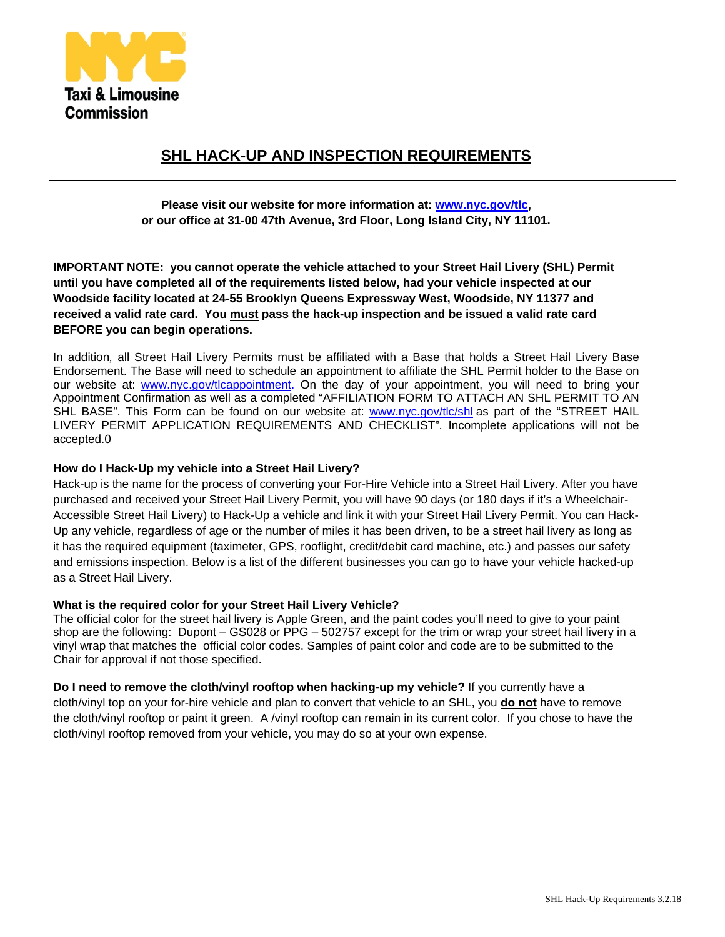

## **SHL HACK-UP AND INSPECTION REQUIREMENTS**

**Please visit our website for more information at: www.nyc.gov/tlc, or our office at 31-00 47th Avenue, 3rd Floor, Long Island City, NY 11101.** 

**IMPORTANT NOTE: you cannot operate the vehicle attached to your Street Hail Livery (SHL) Permit until you have completed all of the requirements listed below, had your vehicle inspected at our Woodside facility located at 24-55 Brooklyn Queens Expressway West, Woodside, NY 11377 and received a valid rate card. You must pass the hack-up inspection and be issued a valid rate card BEFORE you can begin operations.** 

In addition*,* all Street Hail Livery Permits must be affiliated with a Base that holds a Street Hail Livery Base Endorsement. The Base will need to schedule an appointment to affiliate the SHL Permit holder to the Base on our website at: www.nyc.gov/tlcappointment. On the day of your appointment, you will need to bring your Appointment Confirmation as well as a completed "AFFILIATION FORM TO ATTACH AN SHL PERMIT TO AN SHL BASE". This Form can be found on our website at: www.nyc.gov/tlc/shl as part of the "STREET HAIL LIVERY PERMIT APPLICATION REQUIREMENTS AND CHECKLIST". Incomplete applications will not be accepted.0

#### **How do I Hack-Up my vehicle into a Street Hail Livery?**

Hack-up is the name for the process of converting your For-Hire Vehicle into a Street Hail Livery. After you have purchased and received your Street Hail Livery Permit, you will have 90 days (or 180 days if it's a Wheelchair-Accessible Street Hail Livery) to Hack-Up a vehicle and link it with your Street Hail Livery Permit. You can Hack-Up any vehicle, regardless of age or the number of miles it has been driven, to be a street hail livery as long as it has the required equipment (taximeter, GPS, rooflight, credit/debit card machine, etc.) and passes our safety and emissions inspection. Below is a list of the different businesses you can go to have your vehicle hacked-up as a Street Hail Livery.

#### **What is the required color for your Street Hail Livery Vehicle?**

The official color for the street hail livery is Apple Green, and the paint codes you'll need to give to your paint shop are the following: Dupont – GS028 or PPG – 502757 except for the trim or wrap your street hail livery in a vinyl wrap that matches the official color codes. Samples of paint color and code are to be submitted to the Chair for approval if not those specified.

**Do I need to remove the cloth/vinyl rooftop when hacking-up my vehicle?** If you currently have a cloth/vinyl top on your for-hire vehicle and plan to convert that vehicle to an SHL, you **do not** have to remove the cloth/vinyl rooftop or paint it green. A /vinyl rooftop can remain in its current color. If you chose to have the cloth/vinyl rooftop removed from your vehicle, you may do so at your own expense.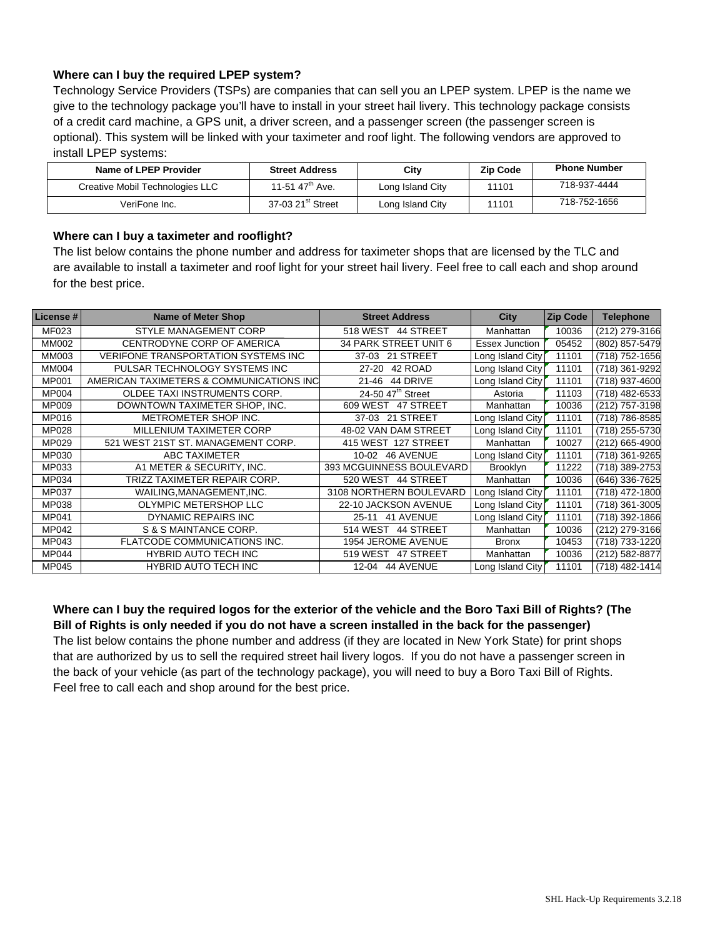## **Where can I buy the required LPEP system?**

Technology Service Providers (TSPs) are companies that can sell you an LPEP system. LPEP is the name we give to the technology package you'll have to install in your street hail livery. This technology package consists of a credit card machine, a GPS unit, a driver screen, and a passenger screen (the passenger screen is optional). This system will be linked with your taximeter and roof light. The following vendors are approved to install LPEP systems:

| Name of LPEP Provider           | <b>Street Address</b>         | Citv             | <b>Zip Code</b> | <b>Phone Number</b> |
|---------------------------------|-------------------------------|------------------|-----------------|---------------------|
| Creative Mobil Technologies LLC | 11-51 47 <sup>th</sup> Ave.   | Long Island City | 11101           | 718-937-4444        |
| VeriFone Inc.                   | 37-03 21 <sup>st</sup> Street | Long Island City | 11101           | 718-752-1656        |

### **Where can I buy a taximeter and rooflight?**

The list below contains the phone number and address for taximeter shops that are licensed by the TLC and are available to install a taximeter and roof light for your street hail livery. Feel free to call each and shop around for the best price.

| License #    | <b>Name of Meter Shop</b>                  | <b>Street Address</b>         | City             | <b>Zip Code</b> | <b>Telephone</b> |
|--------------|--------------------------------------------|-------------------------------|------------------|-----------------|------------------|
| <b>MF023</b> | <b>STYLE MANAGEMENT CORP</b>               | 518 WEST 44 STREET            | Manhattan        | 10036           | (212) 279-3166   |
| <b>MM002</b> | CENTRODYNE CORP OF AMERICA                 | 34 PARK STREET UNIT 6         | Essex Junction   | 05452           | (802) 857-5479   |
| MM003        | <b>VERIFONE TRANSPORTATION SYSTEMS INC</b> | 37-03 21 STREET               | Long Island City | 11101           | (718) 752-1656   |
| <b>MM004</b> | PULSAR TECHNOLOGY SYSTEMS INC              | 42 ROAD<br>27-20              | Long Island City | 11101           | (718) 361-9292   |
| <b>MP001</b> | AMERICAN TAXIMETERS & COMMUNICATIONS INC   | 44 DRIVE<br>$21 - 46$         | Long Island City | 11101           | (718) 937-4600   |
| <b>MP004</b> | OLDEE TAXI INSTRUMENTS CORP.               | 24-50 47 <sup>th</sup> Street | Astoria          | 11103           | (718) 482-6533   |
| <b>MP009</b> | DOWNTOWN TAXIMETER SHOP, INC.              | 609 WEST 47 STREET            | Manhattan        | 10036           | (212) 757-3198   |
| <b>MP016</b> | METROMETER SHOP INC.                       | 37-03 21 STREET               | Long Island City | 11101           | (718) 786-8585   |
| <b>MP028</b> | MILLENIUM TAXIMETER CORP                   | 48-02 VAN DAM STREET          | Long Island City | 11101           | (718) 255-5730   |
| MP029        | 521 WEST 21ST ST. MANAGEMENT CORP.         | 415 WEST 127 STREET           | Manhattan        | 10027           | (212) 665-4900   |
| <b>MP030</b> | ABC TAXIMETER                              | 10-02 46 AVENUE               | Long Island City | 11101           | (718) 361-9265   |
| MP033        | A1 METER & SECURITY, INC.                  | 393 MCGUINNESS BOULEVARD      | <b>Brooklyn</b>  | 11222           | (718) 389-2753   |
| MP034        | TRIZZ TAXIMETER REPAIR CORP.               | 520 WEST 44 STREET            | Manhattan        | 10036           | (646) 336-7625   |
| <b>MP037</b> | WAILING, MANAGEMENT, INC.                  | 3108 NORTHERN BOULEVARD       | Long Island City | 11101           | (718) 472-1800   |
| <b>MP038</b> | OLYMPIC METERSHOP LLC                      | 22-10 JACKSON AVENUE          | Long Island City | 11101           | (718) 361-3005   |
| <b>MP041</b> | <b>DYNAMIC REPAIRS INC</b>                 | 25-11 41 AVENUE               | Long Island City | 11101           | (718) 392-1866   |
| MP042        | S & S MAINTANCE CORP.                      | 514 WEST 44 STREET            | Manhattan        | 10036           | (212) 279-3166   |
| <b>MP043</b> | FLATCODE COMMUNICATIONS INC.               | 1954 JEROME AVENUE            | <b>Bronx</b>     | 10453           | (718) 733-1220   |
| <b>MP044</b> | <b>HYBRID AUTO TECH INC</b>                | 519 WEST<br>47 STREET         | Manhattan        | 10036           | (212) 582-8877   |
| <b>MP045</b> | <b>HYBRID AUTO TECH INC</b>                | 12-04 44 AVENUE               | Long Island City | 11101           | (718) 482-1414   |

**Where can I buy the required logos for the exterior of the vehicle and the Boro Taxi Bill of Rights? (The Bill of Rights is only needed if you do not have a screen installed in the back for the passenger)**  The list below contains the phone number and address (if they are located in New York State) for print shops that are authorized by us to sell the required street hail livery logos. If you do not have a passenger screen in the back of your vehicle (as part of the technology package), you will need to buy a Boro Taxi Bill of Rights. Feel free to call each and shop around for the best price.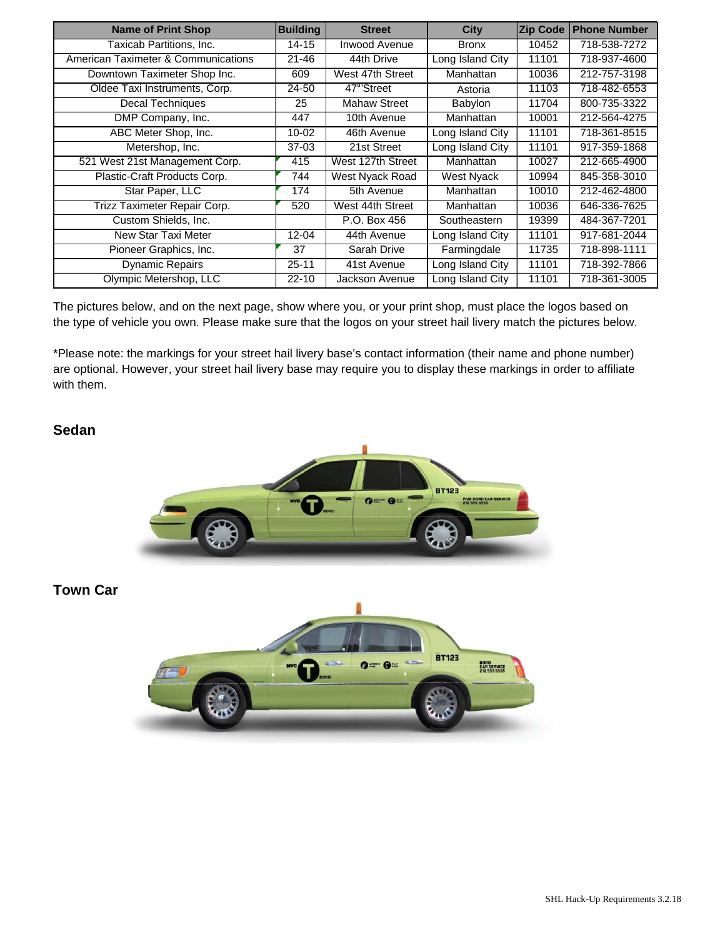| <b>Name of Print Shop</b>           | <b>Building</b> | <b>Street</b>          | <b>City</b>      | <b>Zip Code</b> | <b>Phone Number</b> |
|-------------------------------------|-----------------|------------------------|------------------|-----------------|---------------------|
| Taxicab Partitions, Inc.            | $14 - 15$       | Inwood Avenue          | <b>Bronx</b>     | 10452           | 718-538-7272        |
| American Taximeter & Communications | $21 - 46$       | 44th Drive             | Long Island City | 11101           | 718-937-4600        |
| Downtown Taximeter Shop Inc.        | 609             | West 47th Street       | Manhattan        | 10036           | 212-757-3198        |
| Oldee Taxi Instruments, Corp.       | 24-50           | 47 <sup>m</sup> Street | Astoria          | 11103           | 718-482-6553        |
| Decal Techniques                    | 25              | <b>Mahaw Street</b>    | Babylon          | 11704           | 800-735-3322        |
| DMP Company, Inc.                   | 447             | 10th Avenue            | Manhattan        | 10001           | 212-564-4275        |
| ABC Meter Shop, Inc.                | $10 - 02$       | 46th Avenue            | Long Island City | 11101           | 718-361-8515        |
| Metershop, Inc.                     | $37-03$         | 21st Street            | Long Island City | 11101           | 917-359-1868        |
| 521 West 21st Management Corp.      | 415             | West 127th Street      | Manhattan        | 10027           | 212-665-4900        |
| Plastic-Craft Products Corp.        | 744             | West Nyack Road        | West Nyack       | 10994           | 845-358-3010        |
| Star Paper, LLC                     | 174             | 5th Avenue             | Manhattan        | 10010           | 212-462-4800        |
| Trizz Taximeter Repair Corp.        | 520             | West 44th Street       | Manhattan        | 10036           | 646-336-7625        |
| Custom Shields, Inc.                |                 | P.O. Box 456           | Southeastern     | 19399           | 484-367-7201        |
| New Star Taxi Meter                 | $12 - 04$       | 44th Avenue            | Long Island City | 11101           | 917-681-2044        |
| Pioneer Graphics, Inc.              | 37              | Sarah Drive            | Farmingdale      | 11735           | 718-898-1111        |
| <b>Dynamic Repairs</b>              | 25-11           | 41st Avenue            | Long Island City | 11101           | 718-392-7866        |
| Olympic Metershop, LLC              | $22 - 10$       | Jackson Avenue         | Long Island City | 11101           | 718-361-3005        |

The pictures below, and on the next page, show where you, or your print shop, must place the logos based on the type of vehicle you own. Please make sure that the logos on your street hail livery match the pictures below.

\*Please note: the markings for your street hail livery base's contact information (their name and phone number) are optional. However, your street hail livery base may require you to display these markings in order to affiliate with them.

## **Sedan**



**Town Car** 

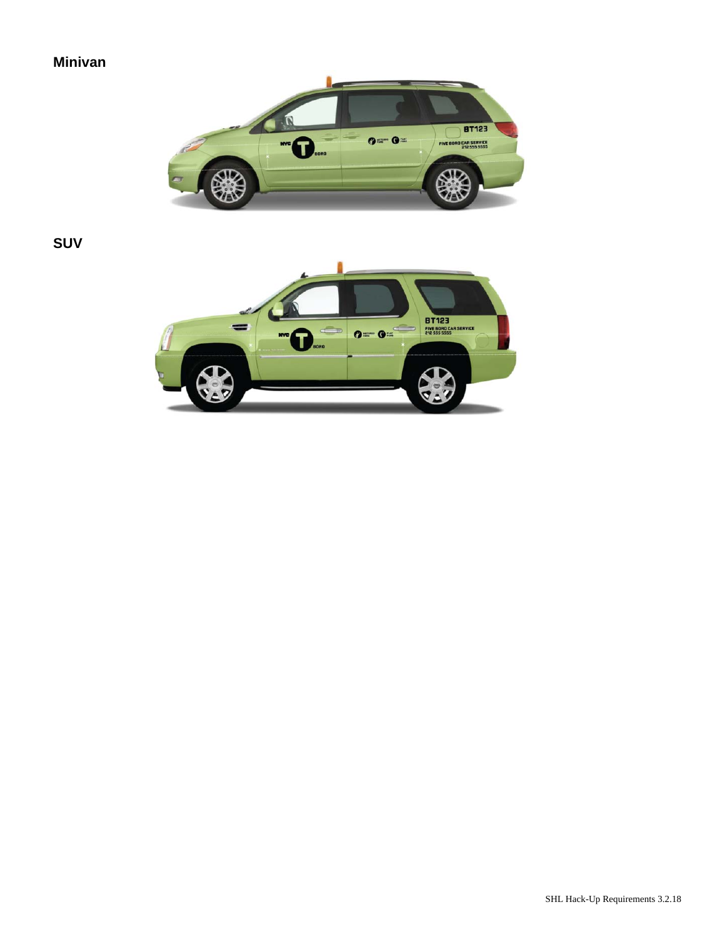## **Minivan**



**SUV** 

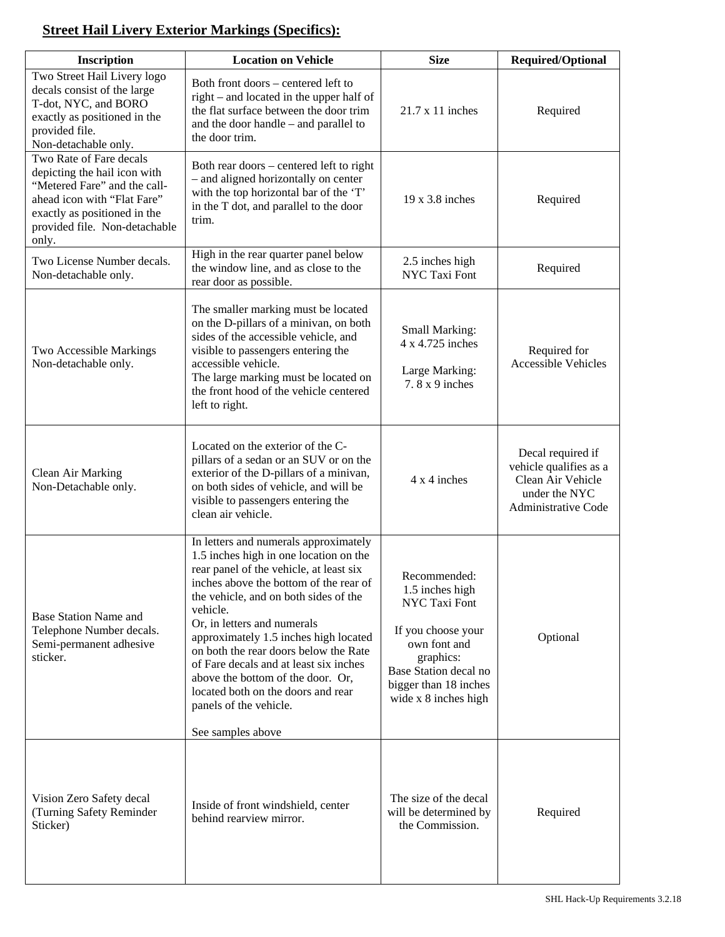# **Street Hail Livery Exterior Markings (Specifics):**

| Inscription                                                                                                                                                                                      | <b>Location on Vehicle</b>                                                                                                                                                                                                                                                                                                                                                                                                                                                                                     | <b>Size</b>                                                                                                                                                                          | <b>Required/Optional</b>                                                                                 |
|--------------------------------------------------------------------------------------------------------------------------------------------------------------------------------------------------|----------------------------------------------------------------------------------------------------------------------------------------------------------------------------------------------------------------------------------------------------------------------------------------------------------------------------------------------------------------------------------------------------------------------------------------------------------------------------------------------------------------|--------------------------------------------------------------------------------------------------------------------------------------------------------------------------------------|----------------------------------------------------------------------------------------------------------|
| Two Street Hail Livery logo<br>decals consist of the large<br>T-dot, NYC, and BORO<br>exactly as positioned in the<br>provided file.<br>Non-detachable only.                                     | Both front doors - centered left to<br>right – and located in the upper half of<br>the flat surface between the door trim<br>and the door handle - and parallel to<br>the door trim.                                                                                                                                                                                                                                                                                                                           | $21.7 \times 11$ inches                                                                                                                                                              | Required                                                                                                 |
| Two Rate of Fare decals<br>depicting the hail icon with<br>"Metered Fare" and the call-<br>ahead icon with "Flat Fare"<br>exactly as positioned in the<br>provided file. Non-detachable<br>only. | Both rear doors - centered left to right<br>- and aligned horizontally on center<br>with the top horizontal bar of the 'T'<br>in the T dot, and parallel to the door<br>trim.                                                                                                                                                                                                                                                                                                                                  | $19 \times 3.8$ inches                                                                                                                                                               | Required                                                                                                 |
| Two License Number decals.<br>Non-detachable only.                                                                                                                                               | High in the rear quarter panel below<br>the window line, and as close to the<br>rear door as possible.                                                                                                                                                                                                                                                                                                                                                                                                         | 2.5 inches high<br>NYC Taxi Font                                                                                                                                                     | Required                                                                                                 |
| Two Accessible Markings<br>Non-detachable only.                                                                                                                                                  | The smaller marking must be located<br>on the D-pillars of a minivan, on both<br>sides of the accessible vehicle, and<br>visible to passengers entering the<br>accessible vehicle.<br>The large marking must be located on<br>the front hood of the vehicle centered<br>left to right.                                                                                                                                                                                                                         | Small Marking:<br>4 x 4.725 inches<br>Large Marking:<br>$7.8x9$ inches                                                                                                               | Required for<br><b>Accessible Vehicles</b>                                                               |
| Clean Air Marking<br>Non-Detachable only.                                                                                                                                                        | Located on the exterior of the C-<br>pillars of a sedan or an SUV or on the<br>exterior of the D-pillars of a minivan,<br>on both sides of vehicle, and will be<br>visible to passengers entering the<br>clean air vehicle.                                                                                                                                                                                                                                                                                    | 4 x 4 inches                                                                                                                                                                         | Decal required if<br>vehicle qualifies as a<br>Clean Air Vehicle<br>under the NYC<br>Administrative Code |
| <b>Base Station Name and</b><br>Telephone Number decals.<br>Semi-permanent adhesive<br>sticker.                                                                                                  | In letters and numerals approximately<br>1.5 inches high in one location on the<br>rear panel of the vehicle, at least six<br>inches above the bottom of the rear of<br>the vehicle, and on both sides of the<br>vehicle.<br>Or, in letters and numerals<br>approximately 1.5 inches high located<br>on both the rear doors below the Rate<br>of Fare decals and at least six inches<br>above the bottom of the door. Or,<br>located both on the doors and rear<br>panels of the vehicle.<br>See samples above | Recommended:<br>1.5 inches high<br><b>NYC Taxi Font</b><br>If you choose your<br>own font and<br>graphics:<br>Base Station decal no<br>bigger than 18 inches<br>wide x 8 inches high | Optional                                                                                                 |
| Vision Zero Safety decal<br>(Turning Safety Reminder<br>Sticker)                                                                                                                                 | Inside of front windshield, center<br>behind rearview mirror.                                                                                                                                                                                                                                                                                                                                                                                                                                                  | The size of the decal<br>will be determined by<br>the Commission.                                                                                                                    | Required                                                                                                 |